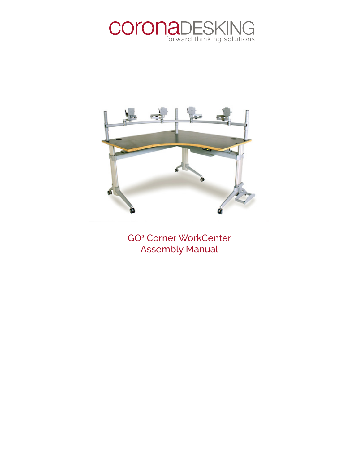



GO2 Corner WorkCenter Assembly Manual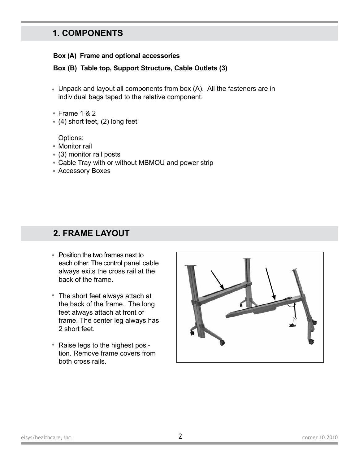#### **1. COMPONENTS**

#### **Box (A) Frame and optional accessories**

**Box (B) Table top, Support Structure, Cable Outlets (3)**

- Unpack and layout all components from box (A). All the fasteners are in individual bags taped to the relative component.
- Frame 1 & 2 •
- (4) short feet, (2) long feet

Options:

- Monitor rail
- (3) monitor rail posts •
- Cable Tray with or without MBMOU and power strip •
- Accessory Boxes •

#### **2. FRAME LAYOUT**

- Position the two frames next to each other. The control panel cable always exits the cross rail at the back of the frame.
- The short feet always attach at the back of the frame. The long feet always attach at front of frame. The center leg always has 2 short feet.
- Raise legs to the highest position. Remove frame covers from both cross rails.

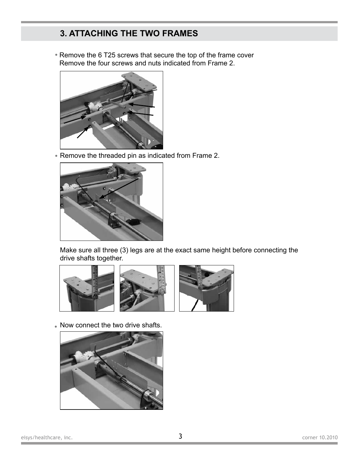# **3. ATTACHING THE TWO FRAMES**

• Remove the 6 T25 screws that secure the top of the frame cover Remove the four screws and nuts indicated from Frame 2.



• Remove the threaded pin as indicated from Frame 2.



Make sure all three (3) legs are at the exact same height before connecting the drive shafts together.



• Now connect the two drive shafts.

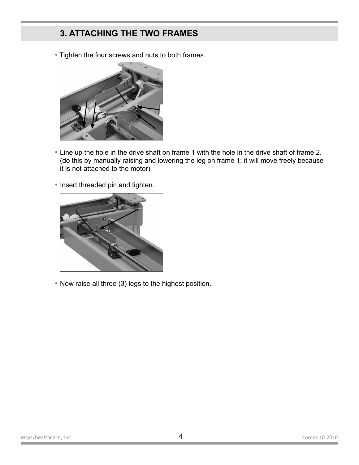### **3. ATTACHING THE TWO FRAMES**

• Tighten the four screws and nuts to both frames.



- Line up the hole in the drive shaft on frame 1 with the hole in the drive shaft of frame 2. (do this by manually raising and lowering the leg on frame 1; it will move freely because it is not attached to the motor)
- Insert threaded pin and tighten.



• Now raise all three (3) legs to the highest position.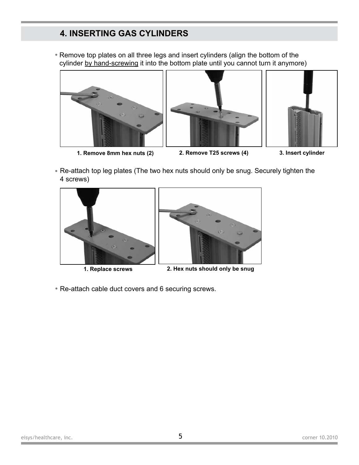### **4. INSERTING GAS CYLINDERS**

Remove top plates on all three legs and insert cylinders (align the bottom of the • cylinder by hand-screwing it into the bottom plate until you cannot turn it anymore)



**1. Remove 8mm hex nuts (2) 2. Remove T25 screws (4) 3. Insert cylinder**





• Re-attach top leg plates (The two hex nuts should only be snug. Securely tighten the 4 screws)





**1. Replace screws 2. Hex nuts should only be snug**

• Re-attach cable duct covers and 6 securing screws.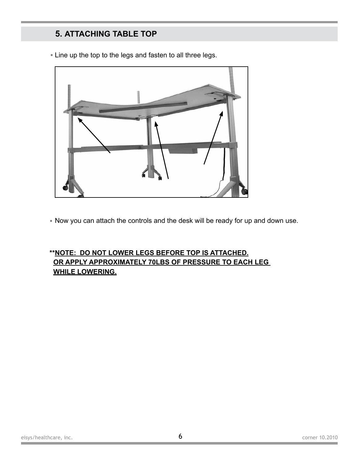### **5. ATTACHING TABLE TOP**



• Line up the top to the legs and fasten to all three legs.

• Now you can attach the controls and the desk will be ready for up and down use.

#### **\*\*NOTE: DO NOT LOWER LEGS BEFORE TOP IS ATTACHED. OR APPLY APPROXIMATELY 70LBS OF PRESSURE TO EACH LEG WHILE LOWERING.**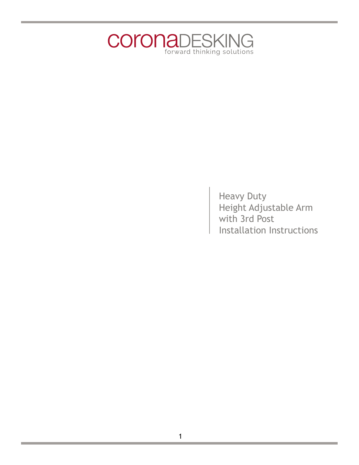

Heavy Duty Height Adjustable Arm with 3rd Post Installation Instructions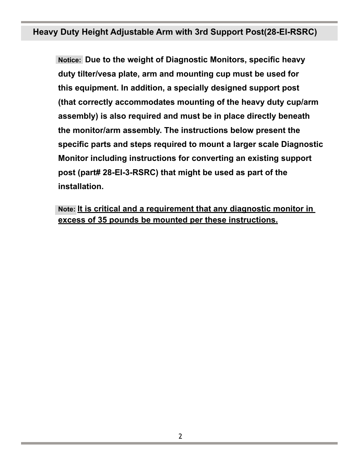# **Heavy Duty Height Adjustable Arm with 3rd Support Post(28-EI-RSRC)**

**Notice: Due to the weight of Diagnostic Monitors, specific heavy duty tilter/vesa plate, arm and mounting cup must be used for this equipment. In addition, a specially designed support post (that correctly accommodates mounting of the heavy duty cup/arm assembly) is also required and must be in place directly beneath the monitor/arm assembly. The instructions below present the specific parts and steps required to mount a larger scale Diagnostic Monitor including instructions for converting an existing support post (part# 28-EI-3-RSRC) that might be used as part of the installation.** 

**Note: It is critical and a requirement that any diagnostic monitor in excess of 35 pounds be mounted per these instructions.**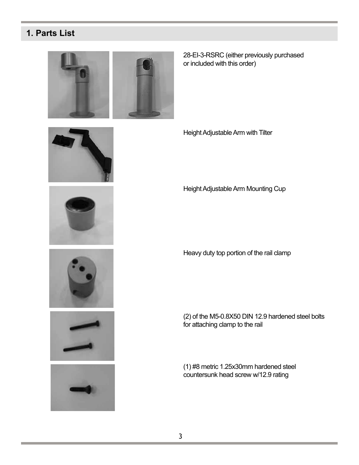### **1. Parts List**



28-EI-3-RSRC (either previously purchased or included with this order)











Height Adjustable Arm with Tilter

Height Adjustable Arm Mounting Cup

Heavy duty top portion of the rail clamp

(2) of the M5-0.8X50 DIN 12.9 hardened steel bolts for attaching clamp to the rail

(1) #8 metric 1.25x30mm hardened steel countersunk head screw w/12.9 rating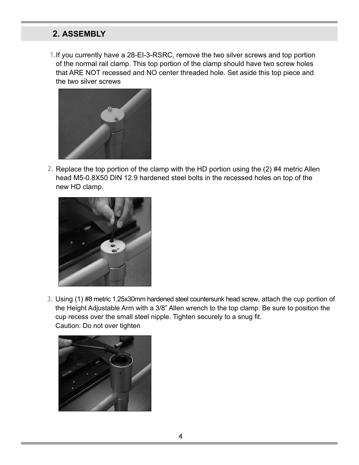#### **2. ASSEMBLY**

1. If you currently have a 28-EI-3-RSRC, remove the two silver screws and top portion of the normal rail clamp. This top portion of the clamp should have two screw holes that ARE NOT recessed and NO center threaded hole. Set aside this top piece and the two silver screws



2. Replace the top portion of the clamp with the HD portion using the (2) #4 metric Allen head M5-0.8X50 DIN 12.9 hardened steel bolts in the recessed holes on top of the new HD clamp.



Using (1) #8 metric 1.25x30mm hardened steel countersunk head screw, attach the cup portion of 3.the Height Adjustable Arm with a 3/8" Allen wrench to the top clamp. Be sure to position the cup recess over the small steel nipple. Tighten securely to a snug fit. Caution: Do not over tighten

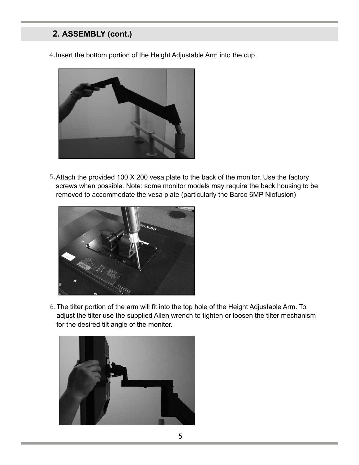## **2. ASSEMBLY (cont.)**

4.Insert the bottom portion of the Height Adjustable Arm into the cup.



5. Attach the provided 100 X 200 vesa plate to the back of the monitor. Use the factory screws when possible. Note: some monitor models may require the back housing to be removed to accommodate the vesa plate (particularly the Barco 6MP Niofusion)



The tilter portion of the arm will fit into the top hole of the Height Adjustable Arm. To 6.adjust the tilter use the supplied Allen wrench to tighten or loosen the tilter mechanism for the desired tilt angle of the monitor.

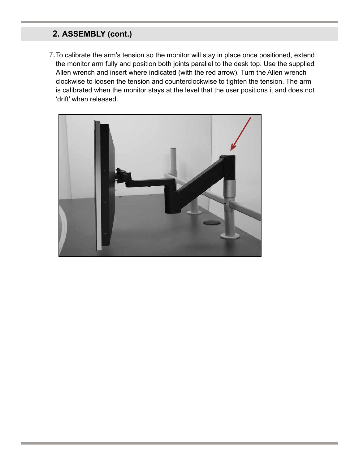# **2. ASSEMBLY (cont.)**

7. To calibrate the arm's tension so the monitor will stay in place once positioned, extend the monitor arm fully and position both joints parallel to the desk top. Use the supplied Allen wrench and insert where indicated (with the red arrow). Turn the Allen wrench clockwise to loosen the tension and counterclockwise to tighten the tension. The arm is calibrated when the monitor stays at the level that the user positions it and does not 'drift' when released.

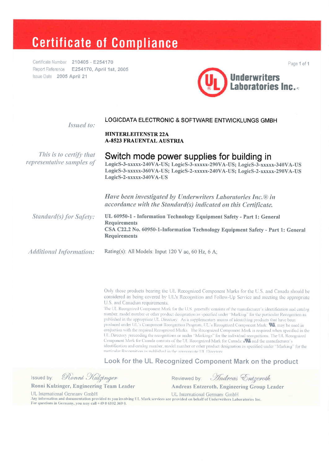# **Certificate of Compliance**

Certificate Number 210405 - E254170 Report Reference E254170, April 1st, 2005 Issue Date 2005 April 21



Issued to:

#### LOGICDATA ELECTRONIC & SOFTWARE ENTWICKLUNGS GMBH

#### **HINTERLEITENSTR 22A A-8523 FRAUENTAL AUSTRIA**

This is to certify that representative samples of

Switch mode power supplies for building in LogicS-3-xxxxx-240VA-US; LogicS-3-xxxxx-290VA-US; LogicS-3-xxxxx-340VA-US LogicS-3-xxxxx-360VA-US; LogicS-2-xxxxx-240VA-US; LogicS-2-xxxxx-290VA-US LogicS-2-xxxxx-340VA-US

Have been investigated by Underwriters Laboratories Inc.® in accordance with the Standard(s) indicated on this Certificate.

UL 60950-1 - Information Technology Equipment Safety - Part 1: General **Standard(s) for Safety: Requirements** CSA C22.2 No. 60950-1-Information Technology Equipment Safety - Part 1: General **Requirements** 

**Additional Information:** 

Rating(s): All Models: Input 120 V ac, 60 Hz, 6 A;

Only those products bearing the UL Recognized Component Marks for the U.S. and Canada should be considered as being covered by UL's Recognition and Follow-Up Service and meeting the appropriate U.S. and Canadian requirements.

The UL Recognized Component Mark for the U.S. generally consists of the manufacturer's identification and catalog number, model number or other product designation as specified under "Marking" for the particular Recognition as published in the appropriate UL Directory. As a supplementary means of identifying products that have been produced under UL's Component Recognition Program, UL's Recognized Component Mark: W, may be used in conjuction with the required Recognized Marks. The Recognized Component Mark is required when specified in the UL Directory preceeding the recognitions or under "Markings" for the individual recognitions. The UL Recognized Component Mark for Canada consists of the UL Recognized Mark for Canada: eW and the manufacturer's identification and catalog number, model number or other product designation as specified under "Marking" for the particular Recoonition as published in the amunoriate LIL Directory

Look for the UL Recognized Component Mark on the product

Ronni Kulzinger Issued by:

Ronni Kulzinger, Engineering Team Leader

For questions in Germany, you may call +49 0 6102 369 0.

Andreas Entgeroth Reviewed by:

**Andreas Entzeroth, Engineering Group Leader** 

UL International Germany GmbH

UL International Germany GmbH Any information and documentation provided to you involving UL Mark services are provided on behalf of Underwriters Laboratories Inc. Page 1 of 1